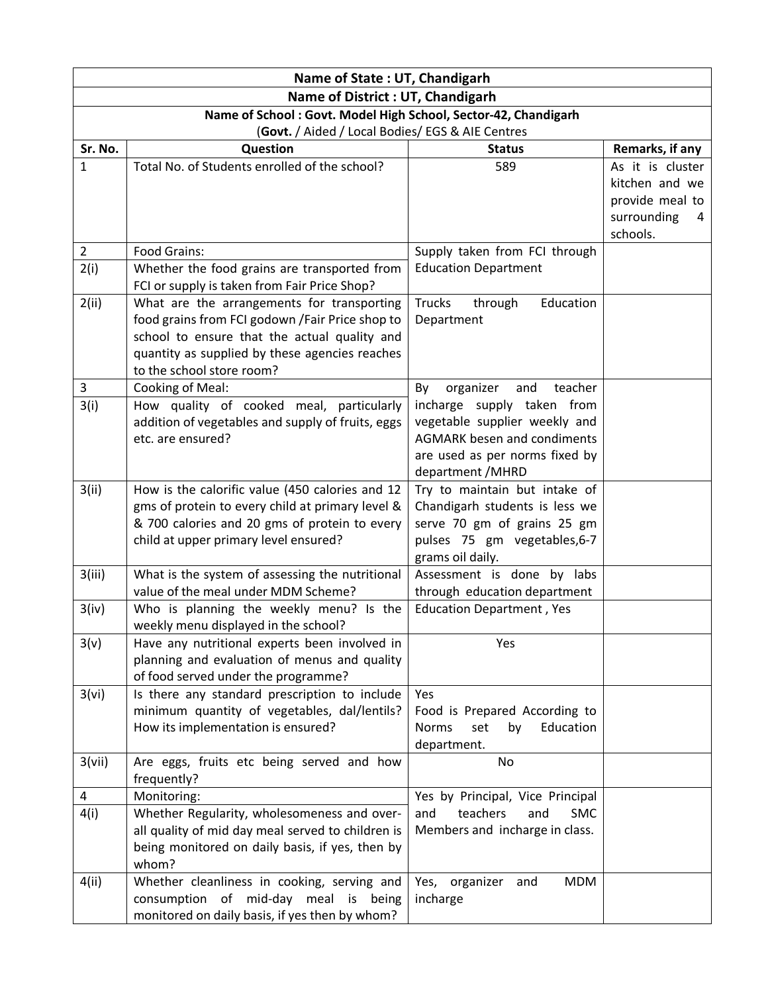| Name of State: UT, Chandigarh                                  |                                                                                                      |                                                                        |                                   |  |  |
|----------------------------------------------------------------|------------------------------------------------------------------------------------------------------|------------------------------------------------------------------------|-----------------------------------|--|--|
| Name of District : UT, Chandigarh                              |                                                                                                      |                                                                        |                                   |  |  |
| Name of School: Govt. Model High School, Sector-42, Chandigarh |                                                                                                      |                                                                        |                                   |  |  |
| (Govt. / Aided / Local Bodies/ EGS & AIE Centres               |                                                                                                      |                                                                        |                                   |  |  |
| Sr. No.                                                        | Question                                                                                             | <b>Status</b>                                                          | Remarks, if any                   |  |  |
| $\mathbf{1}$                                                   | Total No. of Students enrolled of the school?                                                        | 589                                                                    | As it is cluster                  |  |  |
|                                                                |                                                                                                      |                                                                        | kitchen and we<br>provide meal to |  |  |
|                                                                |                                                                                                      |                                                                        | surrounding<br>4                  |  |  |
|                                                                |                                                                                                      |                                                                        | schools.                          |  |  |
| $\overline{2}$                                                 | Food Grains:                                                                                         | Supply taken from FCI through                                          |                                   |  |  |
| 2(i)                                                           | Whether the food grains are transported from                                                         | <b>Education Department</b>                                            |                                   |  |  |
|                                                                | FCI or supply is taken from Fair Price Shop?                                                         |                                                                        |                                   |  |  |
| 2(ii)                                                          | What are the arrangements for transporting                                                           | Trucks<br>through<br>Education                                         |                                   |  |  |
|                                                                | food grains from FCI godown / Fair Price shop to                                                     | Department                                                             |                                   |  |  |
|                                                                | school to ensure that the actual quality and                                                         |                                                                        |                                   |  |  |
|                                                                | quantity as supplied by these agencies reaches                                                       |                                                                        |                                   |  |  |
|                                                                | to the school store room?                                                                            |                                                                        |                                   |  |  |
| 3                                                              | Cooking of Meal:                                                                                     | and<br>organizer<br>teacher<br>By                                      |                                   |  |  |
| 3(i)                                                           | How quality of cooked meal, particularly                                                             | incharge supply taken from                                             |                                   |  |  |
|                                                                | addition of vegetables and supply of fruits, eggs<br>etc. are ensured?                               | vegetable supplier weekly and<br><b>AGMARK besen and condiments</b>    |                                   |  |  |
|                                                                |                                                                                                      | are used as per norms fixed by                                         |                                   |  |  |
|                                                                |                                                                                                      | department / MHRD                                                      |                                   |  |  |
| 3(ii)                                                          | How is the calorific value (450 calories and 12                                                      | Try to maintain but intake of                                          |                                   |  |  |
|                                                                | gms of protein to every child at primary level &                                                     | Chandigarh students is less we                                         |                                   |  |  |
|                                                                | & 700 calories and 20 gms of protein to every                                                        | serve 70 gm of grains 25 gm                                            |                                   |  |  |
|                                                                | child at upper primary level ensured?                                                                | pulses 75 gm vegetables, 6-7                                           |                                   |  |  |
|                                                                |                                                                                                      | grams oil daily.                                                       |                                   |  |  |
| 3(iii)                                                         | What is the system of assessing the nutritional                                                      | Assessment is done by labs                                             |                                   |  |  |
|                                                                | value of the meal under MDM Scheme?                                                                  | through education department                                           |                                   |  |  |
| 3(iv)                                                          | Who is planning the weekly menu? Is the                                                              | <b>Education Department, Yes</b>                                       |                                   |  |  |
|                                                                | weekly menu displayed in the school?                                                                 | Yes                                                                    |                                   |  |  |
| 3(v)                                                           | Have any nutritional experts been involved in<br>planning and evaluation of menus and quality        |                                                                        |                                   |  |  |
|                                                                | of food served under the programme?                                                                  |                                                                        |                                   |  |  |
| 3(vi)                                                          | Is there any standard prescription to include                                                        | Yes                                                                    |                                   |  |  |
|                                                                | minimum quantity of vegetables, dal/lentils?                                                         | Food is Prepared According to                                          |                                   |  |  |
|                                                                | How its implementation is ensured?                                                                   | Education<br><b>Norms</b><br>set<br>by                                 |                                   |  |  |
|                                                                |                                                                                                      | department.                                                            |                                   |  |  |
| 3(vii)                                                         | Are eggs, fruits etc being served and how                                                            | No                                                                     |                                   |  |  |
|                                                                | frequently?                                                                                          |                                                                        |                                   |  |  |
| 4                                                              | Monitoring:                                                                                          | Yes by Principal, Vice Principal                                       |                                   |  |  |
| 4(i)                                                           | Whether Regularity, wholesomeness and over-                                                          | teachers<br><b>SMC</b><br>and<br>and<br>Members and incharge in class. |                                   |  |  |
|                                                                | all quality of mid day meal served to children is<br>being monitored on daily basis, if yes, then by |                                                                        |                                   |  |  |
|                                                                | whom?                                                                                                |                                                                        |                                   |  |  |
| 4(ii)                                                          | Whether cleanliness in cooking, serving and                                                          | Yes, organizer and<br><b>MDM</b>                                       |                                   |  |  |
|                                                                | consumption of mid-day meal is being                                                                 | incharge                                                               |                                   |  |  |
|                                                                | monitored on daily basis, if yes then by whom?                                                       |                                                                        |                                   |  |  |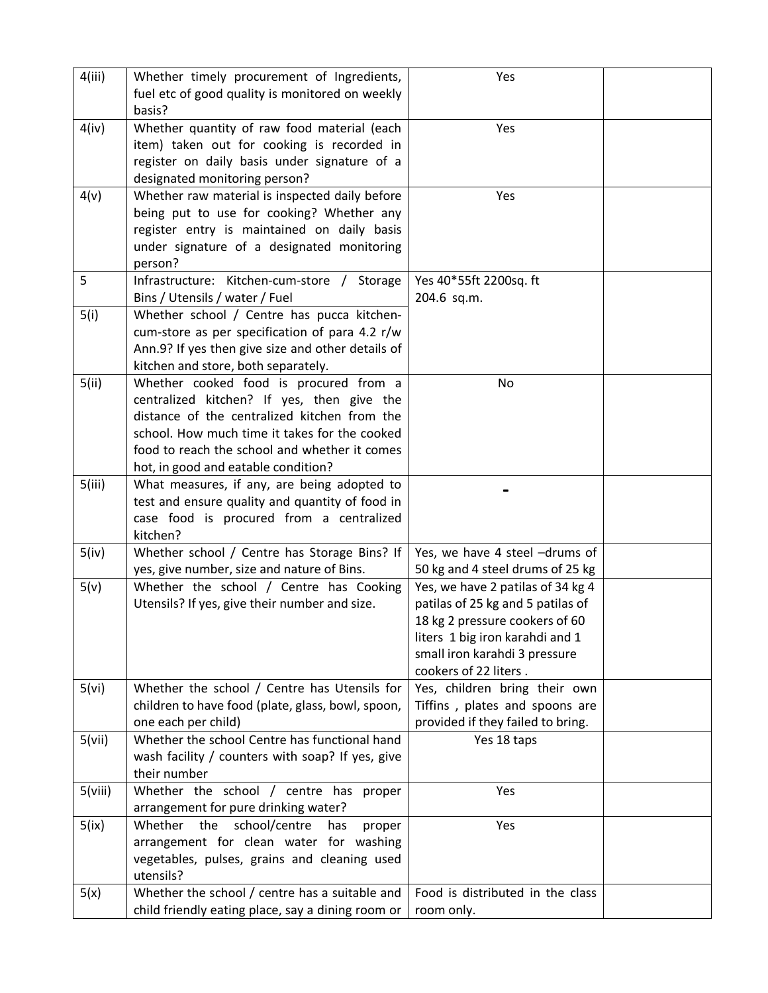| 4(iii)  | Whether timely procurement of Ingredients,        | Yes                               |  |
|---------|---------------------------------------------------|-----------------------------------|--|
|         | fuel etc of good quality is monitored on weekly   |                                   |  |
|         | basis?                                            |                                   |  |
| 4(iv)   | Whether quantity of raw food material (each       | Yes                               |  |
|         | item) taken out for cooking is recorded in        |                                   |  |
|         |                                                   |                                   |  |
|         | register on daily basis under signature of a      |                                   |  |
|         | designated monitoring person?                     |                                   |  |
| 4(v)    | Whether raw material is inspected daily before    | Yes                               |  |
|         | being put to use for cooking? Whether any         |                                   |  |
|         | register entry is maintained on daily basis       |                                   |  |
|         | under signature of a designated monitoring        |                                   |  |
|         |                                                   |                                   |  |
|         | person?                                           |                                   |  |
| 5       | Infrastructure: Kitchen-cum-store / Storage       | Yes 40*55ft 2200sq. ft            |  |
|         | Bins / Utensils / water / Fuel                    | 204.6 sq.m.                       |  |
| 5(i)    | Whether school / Centre has pucca kitchen-        |                                   |  |
|         | cum-store as per specification of para 4.2 r/w    |                                   |  |
|         | Ann.9? If yes then give size and other details of |                                   |  |
|         |                                                   |                                   |  |
|         | kitchen and store, both separately.               |                                   |  |
| 5(ii)   | Whether cooked food is procured from a            | No                                |  |
|         | centralized kitchen? If yes, then give the        |                                   |  |
|         | distance of the centralized kitchen from the      |                                   |  |
|         | school. How much time it takes for the cooked     |                                   |  |
|         | food to reach the school and whether it comes     |                                   |  |
|         | hot, in good and eatable condition?               |                                   |  |
|         |                                                   |                                   |  |
| 5(iii)  | What measures, if any, are being adopted to       |                                   |  |
|         | test and ensure quality and quantity of food in   |                                   |  |
|         | case food is procured from a centralized          |                                   |  |
|         | kitchen?                                          |                                   |  |
| 5(iv)   | Whether school / Centre has Storage Bins? If      | Yes, we have 4 steel -drums of    |  |
|         | yes, give number, size and nature of Bins.        | 50 kg and 4 steel drums of 25 kg  |  |
| 5(v)    | Whether the school / Centre has Cooking           | Yes, we have 2 patilas of 34 kg 4 |  |
|         | Utensils? If yes, give their number and size.     | patilas of 25 kg and 5 patilas of |  |
|         |                                                   | 18 kg 2 pressure cookers of 60    |  |
|         |                                                   |                                   |  |
|         |                                                   | liters 1 big iron karahdi and 1   |  |
|         |                                                   | small iron karahdi 3 pressure     |  |
|         |                                                   | cookers of 22 liters.             |  |
| 5(vi)   | Whether the school / Centre has Utensils for      | Yes, children bring their own     |  |
|         | children to have food (plate, glass, bowl, spoon, | Tiffins, plates and spoons are    |  |
|         | one each per child)                               | provided if they failed to bring. |  |
| 5(vii)  | Whether the school Centre has functional hand     | Yes 18 taps                       |  |
|         |                                                   |                                   |  |
|         | wash facility / counters with soap? If yes, give  |                                   |  |
|         | their number                                      |                                   |  |
| 5(viii) | Whether the school / centre has proper            | Yes                               |  |
|         | arrangement for pure drinking water?              |                                   |  |
| 5(ix)   | Whether the<br>school/centre<br>has<br>proper     | Yes                               |  |
|         | arrangement for clean water for washing           |                                   |  |
|         | vegetables, pulses, grains and cleaning used      |                                   |  |
|         | utensils?                                         |                                   |  |
|         |                                                   |                                   |  |
| 5(x)    | Whether the school / centre has a suitable and    | Food is distributed in the class  |  |
|         | child friendly eating place, say a dining room or | room only.                        |  |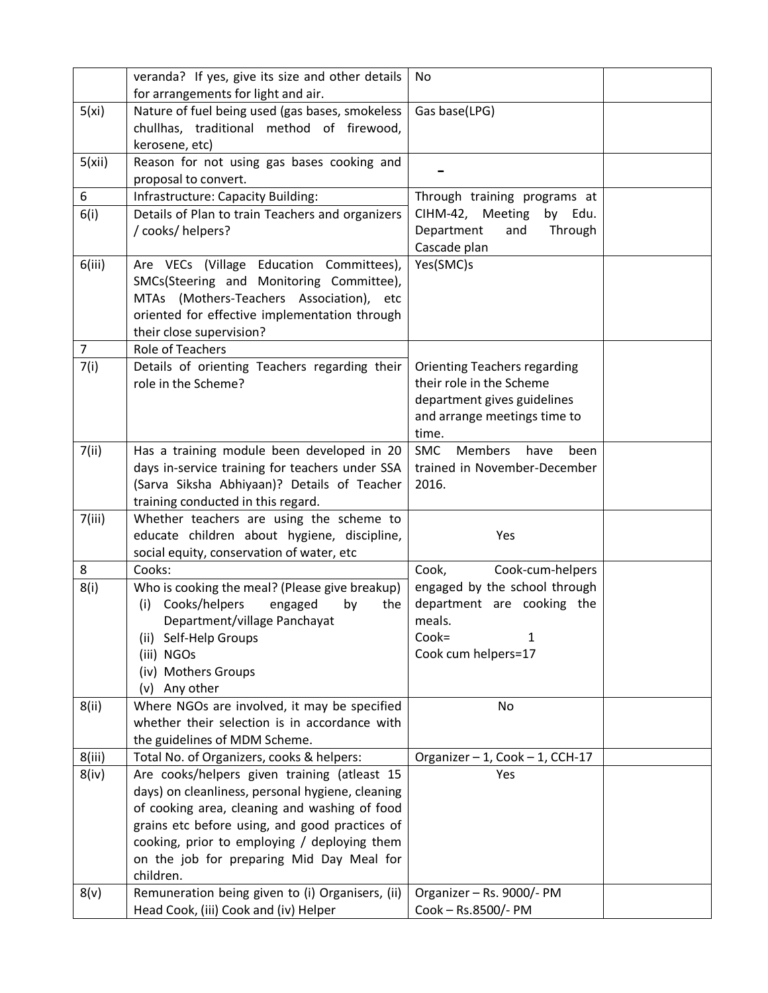|                | veranda? If yes, give its size and other details              | No                                           |  |
|----------------|---------------------------------------------------------------|----------------------------------------------|--|
|                | for arrangements for light and air.                           |                                              |  |
| 5(xi)          | Nature of fuel being used (gas bases, smokeless               | Gas base(LPG)                                |  |
|                | chullhas, traditional method of firewood,                     |                                              |  |
|                | kerosene, etc)                                                |                                              |  |
| 5(xii)         | Reason for not using gas bases cooking and                    |                                              |  |
|                | proposal to convert.                                          |                                              |  |
| 6              | Infrastructure: Capacity Building:                            | Through training programs at                 |  |
| 6(i)           | Details of Plan to train Teachers and organizers              | CIHM-42, Meeting<br>by Edu.                  |  |
|                | / cooks/ helpers?                                             | Department<br>Through<br>and                 |  |
|                |                                                               | Cascade plan                                 |  |
| 6(iii)         | Are VECs (Village Education Committees),                      | Yes(SMC)s                                    |  |
|                | SMCs(Steering and Monitoring Committee),                      |                                              |  |
|                | MTAs (Mothers-Teachers Association), etc                      |                                              |  |
|                | oriented for effective implementation through                 |                                              |  |
|                | their close supervision?                                      |                                              |  |
| $\overline{7}$ | <b>Role of Teachers</b>                                       |                                              |  |
| 7(i)           | Details of orienting Teachers regarding their                 | <b>Orienting Teachers regarding</b>          |  |
|                | role in the Scheme?                                           | their role in the Scheme                     |  |
|                |                                                               | department gives guidelines                  |  |
|                |                                                               | and arrange meetings time to                 |  |
|                |                                                               | time.                                        |  |
| 7(ii)          | Has a training module been developed in 20                    | <b>SMC</b><br><b>Members</b><br>have<br>been |  |
|                | days in-service training for teachers under SSA               | trained in November-December                 |  |
|                | (Sarva Siksha Abhiyaan)? Details of Teacher                   | 2016.                                        |  |
|                | training conducted in this regard.                            |                                              |  |
| 7(iii)         | Whether teachers are using the scheme to                      |                                              |  |
|                | educate children about hygiene, discipline,                   | Yes                                          |  |
|                | social equity, conservation of water, etc                     |                                              |  |
| 8              | Cooks:                                                        | Cook,<br>Cook-cum-helpers                    |  |
| 8(i)           | Who is cooking the meal? (Please give breakup)                | engaged by the school through                |  |
|                | Cooks/helpers<br>engaged<br>by<br>(i)<br>the                  | department are cooking the                   |  |
|                | Department/village Panchayat                                  | meals.                                       |  |
|                | Self-Help Groups<br>(ii)                                      | Cook=<br>1                                   |  |
|                | (iii) NGOs                                                    | Cook cum helpers=17                          |  |
|                | (iv) Mothers Groups                                           |                                              |  |
|                | (v) Any other<br>Where NGOs are involved, it may be specified | No                                           |  |
| 8(ii)          | whether their selection is in accordance with                 |                                              |  |
|                | the guidelines of MDM Scheme.                                 |                                              |  |
| 8(iii)         | Total No. of Organizers, cooks & helpers:                     | Organizer - 1, Cook - 1, CCH-17              |  |
| 8(iv)          | Are cooks/helpers given training (atleast 15                  | Yes                                          |  |
|                | days) on cleanliness, personal hygiene, cleaning              |                                              |  |
|                | of cooking area, cleaning and washing of food                 |                                              |  |
|                | grains etc before using, and good practices of                |                                              |  |
|                | cooking, prior to employing / deploying them                  |                                              |  |
|                | on the job for preparing Mid Day Meal for                     |                                              |  |
|                | children.                                                     |                                              |  |
| 8(v)           | Remuneration being given to (i) Organisers, (ii)              | Organizer - Rs. 9000/- PM                    |  |
|                | Head Cook, (iii) Cook and (iv) Helper                         | Cook - Rs.8500/- PM                          |  |